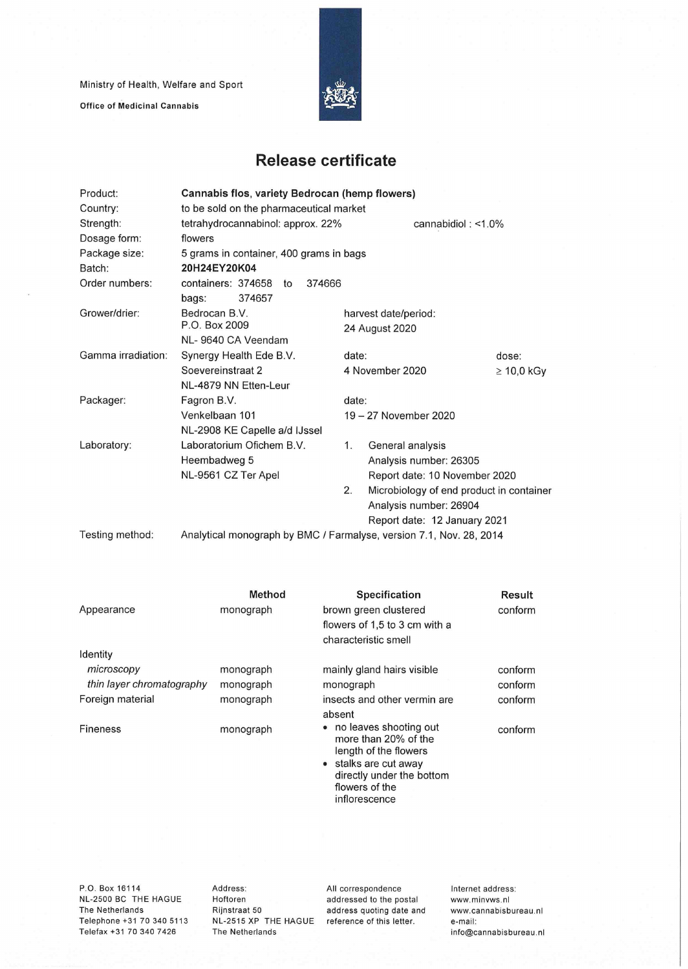Ministry of Health, Welfare and Sport

Office of Medicinal Cannabis



## **Release certificate**

| Product:           | Cannabis flos, variety Bedrocan (hemp flowers)                      |    |                                                                    |                 |  |  |  |
|--------------------|---------------------------------------------------------------------|----|--------------------------------------------------------------------|-----------------|--|--|--|
| Country:           | to be sold on the pharmaceutical market                             |    |                                                                    |                 |  |  |  |
| Strength:          | tetrahydrocannabinol: approx. 22%<br>cannabidiol: $<$ 1.0%          |    |                                                                    |                 |  |  |  |
| Dosage form:       | flowers                                                             |    |                                                                    |                 |  |  |  |
| Package size:      | 5 grams in container, 400 grams in bags                             |    |                                                                    |                 |  |  |  |
| Batch:             | 20H24EY20K04                                                        |    |                                                                    |                 |  |  |  |
| Order numbers:     | containers: 374658<br>374666<br>to                                  |    |                                                                    |                 |  |  |  |
|                    | 374657<br>bags:                                                     |    |                                                                    |                 |  |  |  |
| Grower/drier:      | Bedrocan B.V.                                                       |    | harvest date/period:                                               |                 |  |  |  |
|                    | P.O. Box 2009                                                       |    | 24 August 2020                                                     |                 |  |  |  |
|                    | NL-9640 CA Veendam                                                  |    |                                                                    |                 |  |  |  |
| Gamma irradiation: | Synergy Health Ede B.V.                                             |    | date:                                                              | dose:           |  |  |  |
|                    | Soevereinstraat 2                                                   |    | 4 November 2020                                                    | $\geq 10,0$ kGy |  |  |  |
|                    | NL-4879 NN Etten-Leur                                               |    |                                                                    |                 |  |  |  |
| Packager:          | Fagron B.V.                                                         |    | date:                                                              |                 |  |  |  |
|                    | Venkelbaan 101                                                      |    | 19 - 27 November 2020                                              |                 |  |  |  |
|                    | NL-2908 KE Capelle a/d IJssel                                       |    |                                                                    |                 |  |  |  |
| Laboratory:        | Laboratorium Ofichem B.V.                                           | 1. | General analysis                                                   |                 |  |  |  |
|                    | Heembadweg 5                                                        |    | Analysis number: 26305                                             |                 |  |  |  |
|                    | NL-9561 CZ Ter Apel                                                 |    | Report date: 10 November 2020                                      |                 |  |  |  |
|                    |                                                                     | 2. | Microbiology of end product in container<br>Analysis number: 26904 |                 |  |  |  |
|                    |                                                                     |    |                                                                    |                 |  |  |  |
|                    |                                                                     |    | Report date: 12 January 2021                                       |                 |  |  |  |
| Testing method:    | Analytical monograph by BMC / Farmalyse, version 7.1, Nov. 28, 2014 |    |                                                                    |                 |  |  |  |

Appearance Identity *microscopy thin layer chromatography*  Foreign material Fineness **Method**  monograph monograph monograph monograph monograph **Specification**  brown green clustered flowers of 1,5 to 3 cm with a characteristic smell mainly gland hairs visible monograph insects and other vermin are absent • no leaves shooting out more than 20% of the length of the flowers • stalks are cut away directly under the bottom flowers of the inflorescence **Result**  conform conform conform conform conform

P.O. Box 16114 NL-2500 BC THE HAGUE The Netherlands Telephone +31 70 340 5113 Telefax +31 70 340 7426

Address: Hoftoren Rijnstraat 50 NL-2515 XP THE HAGUE The Netherlands

All correspondence addressed to the postai address quoting date and reference of this letter.

Internet address: www.minvws.nl www.cannabisbureau.n1 e-mail: info@cannabisbureau.nl